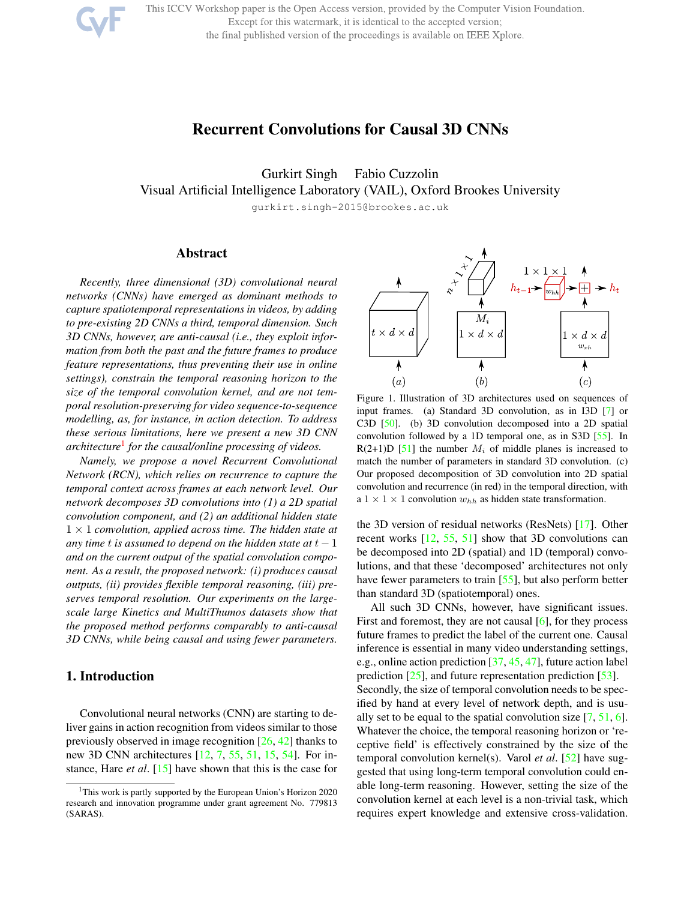This ICCV Workshop paper is the Open Access version, provided by the Computer Vision Foundation.

Except for this watermark, it is identical to the accepted version;

the final published version of the proceedings is available on IEEE Xplore.



# Recurrent Convolutions for Causal 3D CNNs

Gurkirt Singh Fabio Cuzzolin Visual Artificial Intelligence Laboratory (VAIL), Oxford Brookes University

gurkirt.singh-2015@brookes.ac.uk

## Abstract

*Recently, three dimensional (3D) convolutional neural networks (CNNs) have emerged as dominant methods to capture spatiotemporal representations in videos, by adding to pre-existing 2D CNNs a third, temporal dimension. Such 3D CNNs, however, are anti-causal (i.e., they exploit information from both the past and the future frames to produce feature representations, thus preventing their use in online settings), constrain the temporal reasoning horizon to the size of the temporal convolution kernel, and are not temporal resolution-preserving for video sequence-to-sequence modelling, as, for instance, in action detection. To address these serious limitations, here we present a new 3D CNN architecture*<sup>1</sup> *for the causal/online processing of videos.*

*Namely, we propose a novel Recurrent Convolutional Network (RCN), which relies on recurrence to capture the temporal context across frames at each network level. Our network decomposes 3D convolutions into (1) a 2D spatial convolution component, and (2) an additional hidden state* 1 × 1 *convolution, applied across time. The hidden state at any time* t *is assumed to depend on the hidden state at*  $t - 1$ *and on the current output of the spatial convolution component. As a result, the proposed network: (i) produces causal outputs, (ii) provides flexible temporal reasoning, (iii) preserves temporal resolution. Our experiments on the largescale large Kinetics and MultiThumos datasets show that the proposed method performs comparably to anti-causal 3D CNNs, while being causal and using fewer parameters.*

# 1. Introduction

Convolutional neural networks (CNN) are starting to deliver gains in action recognition from videos similar to those previously observed in image recognition [26, 42] thanks to new 3D CNN architectures [12, 7, 55, 51, 15, 54]. For instance, Hare *et al*. [15] have shown that this is the case for



Figure 1. Illustration of 3D architectures used on sequences of input frames. (a) Standard 3D convolution, as in I3D [7] or C3D [50]. (b) 3D convolution decomposed into a 2D spatial convolution followed by a 1D temporal one, as in S3D [55]. In  $R(2+1)D$  [51] the number  $M_i$  of middle planes is increased to match the number of parameters in standard 3D convolution. (c) Our proposed decomposition of 3D convolution into 2D spatial convolution and recurrence (in red) in the temporal direction, with a  $1 \times 1 \times 1$  convolution  $w_{hh}$  as hidden state transformation.

the 3D version of residual networks (ResNets) [17]. Other recent works [12, 55, 51] show that 3D convolutions can be decomposed into 2D (spatial) and 1D (temporal) convolutions, and that these 'decomposed' architectures not only have fewer parameters to train [55], but also perform better than standard 3D (spatiotemporal) ones.

All such 3D CNNs, however, have significant issues. First and foremost, they are not causal [6], for they process future frames to predict the label of the current one. Causal inference is essential in many video understanding settings, e.g., online action prediction [37, 45, 47], future action label prediction [25], and future representation prediction [53]. Secondly, the size of temporal convolution needs to be specified by hand at every level of network depth, and is usually set to be equal to the spatial convolution size  $[7, 51, 6]$ . Whatever the choice, the temporal reasoning horizon or 'receptive field' is effectively constrained by the size of the temporal convolution kernel(s). Varol *et al*. [52] have suggested that using long-term temporal convolution could enable long-term reasoning. However, setting the size of the convolution kernel at each level is a non-trivial task, which requires expert knowledge and extensive cross-validation.

<sup>&</sup>lt;sup>1</sup>This work is partly supported by the European Union's Horizon 2020 research and innovation programme under grant agreement No. 779813 (SARAS).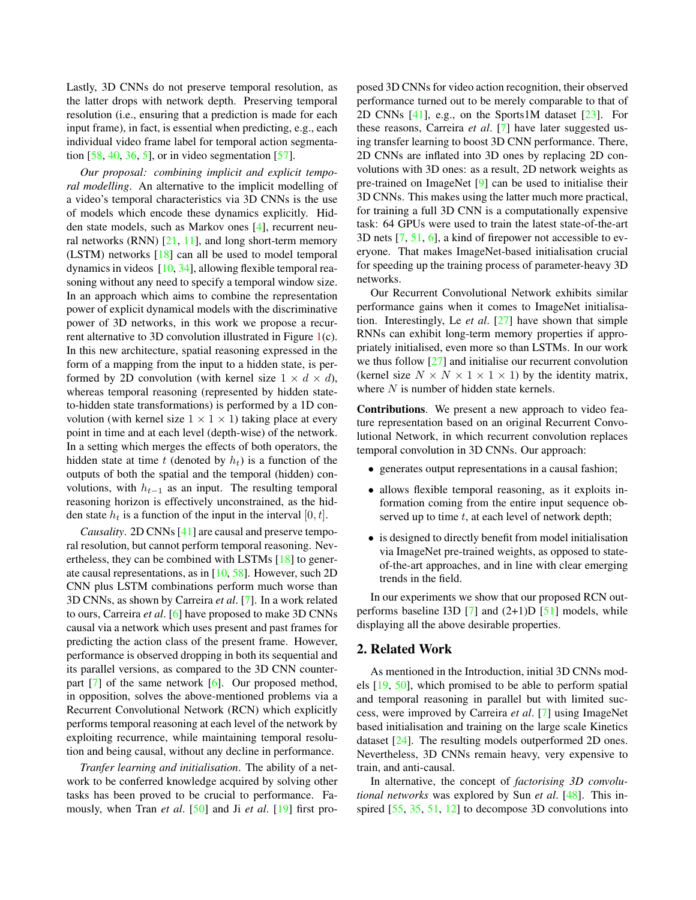Lastly, 3D CNNs do not preserve temporal resolution, as the latter drops with network depth. Preserving temporal resolution (i.e., ensuring that a prediction is made for each input frame), in fact, is essential when predicting, e.g., each individual video frame label for temporal action segmentation  $[58, 40, 36, 5]$ , or in video segmentation  $[57]$ .

*Our proposal: combining implicit and explicit temporal modelling*. An alternative to the implicit modelling of a video's temporal characteristics via 3D CNNs is the use of models which encode these dynamics explicitly. Hidden state models, such as Markov ones [4], recurrent neural networks (RNN)  $[21, 11]$ , and long short-term memory (LSTM) networks [18] can all be used to model temporal dynamics in videos [10, 34], allowing flexible temporal reasoning without any need to specify a temporal window size. In an approach which aims to combine the representation power of explicit dynamical models with the discriminative power of 3D networks, in this work we propose a recurrent alternative to 3D convolution illustrated in Figure 1(c). In this new architecture, spatial reasoning expressed in the form of a mapping from the input to a hidden state, is performed by 2D convolution (with kernel size  $1 \times d \times d$ ), whereas temporal reasoning (represented by hidden stateto-hidden state transformations) is performed by a 1D convolution (with kernel size  $1 \times 1 \times 1$ ) taking place at every point in time and at each level (depth-wise) of the network. In a setting which merges the effects of both operators, the hidden state at time t (denoted by  $h_t$ ) is a function of the outputs of both the spatial and the temporal (hidden) convolutions, with  $h_{t-1}$  as an input. The resulting temporal reasoning horizon is effectively unconstrained, as the hidden state  $h_t$  is a function of the input in the interval  $[0, t]$ .

*Causality*. 2D CNNs [41] are causal and preserve temporal resolution, but cannot perform temporal reasoning. Nevertheless, they can be combined with LSTMs [18] to generate causal representations, as in [10, 58]. However, such 2D CNN plus LSTM combinations perform much worse than 3D CNNs, as shown by Carreira *et al*. [7]. In a work related to ours, Carreira *et al*. [6] have proposed to make 3D CNNs causal via a network which uses present and past frames for predicting the action class of the present frame. However, performance is observed dropping in both its sequential and its parallel versions, as compared to the 3D CNN counterpart  $[7]$  of the same network  $[6]$ . Our proposed method, in opposition, solves the above-mentioned problems via a Recurrent Convolutional Network (RCN) which explicitly performs temporal reasoning at each level of the network by exploiting recurrence, while maintaining temporal resolution and being causal, without any decline in performance.

*Tranfer learning and initialisation*. The ability of a network to be conferred knowledge acquired by solving other tasks has been proved to be crucial to performance. Famously, when Tran *et al*. [50] and Ji *et al*. [19] first pro-

posed 3D CNNs for video action recognition, their observed performance turned out to be merely comparable to that of 2D CNNs  $[41]$ , e.g., on the Sports1M dataset  $[23]$ . For these reasons, Carreira *et al*. [7] have later suggested using transfer learning to boost 3D CNN performance. There, 2D CNNs are inflated into 3D ones by replacing 2D convolutions with 3D ones: as a result, 2D network weights as pre-trained on ImageNet [9] can be used to initialise their 3D CNNs. This makes using the latter much more practical, for training a full 3D CNN is a computationally expensive task: 64 GPUs were used to train the latest state-of-the-art 3D nets [7, 51, 6], a kind of firepower not accessible to everyone. That makes ImageNet-based initialisation crucial for speeding up the training process of parameter-heavy 3D networks.

Our Recurrent Convolutional Network exhibits similar performance gains when it comes to ImageNet initialisation. Interestingly, Le *et al*. [27] have shown that simple RNNs can exhibit long-term memory properties if appropriately initialised, even more so than LSTMs. In our work we thus follow  $[27]$  and initialise our recurrent convolution (kernel size  $N \times N \times 1 \times 1 \times 1$ ) by the identity matrix, where  $N$  is number of hidden state kernels.

Contributions. We present a new approach to video feature representation based on an original Recurrent Convolutional Network, in which recurrent convolution replaces temporal convolution in 3D CNNs. Our approach:

- generates output representations in a causal fashion;
- allows flexible temporal reasoning, as it exploits information coming from the entire input sequence observed up to time  $t$ , at each level of network depth;
- is designed to directly benefit from model initialisation via ImageNet pre-trained weights, as opposed to stateof-the-art approaches, and in line with clear emerging trends in the field.

In our experiments we show that our proposed RCN outperforms baseline I3D  $[7]$  and  $(2+1)D [51]$  models, while displaying all the above desirable properties.

## 2. Related Work

As mentioned in the Introduction, initial 3D CNNs models [19, 50], which promised to be able to perform spatial and temporal reasoning in parallel but with limited success, were improved by Carreira *et al*. [7] using ImageNet based initialisation and training on the large scale Kinetics dataset [24]. The resulting models outperformed 2D ones. Nevertheless, 3D CNNs remain heavy, very expensive to train, and anti-causal.

In alternative, the concept of *factorising 3D convolutional networks* was explored by Sun *et al*. [48]. This inspired [55, 35, 51, 12] to decompose 3D convolutions into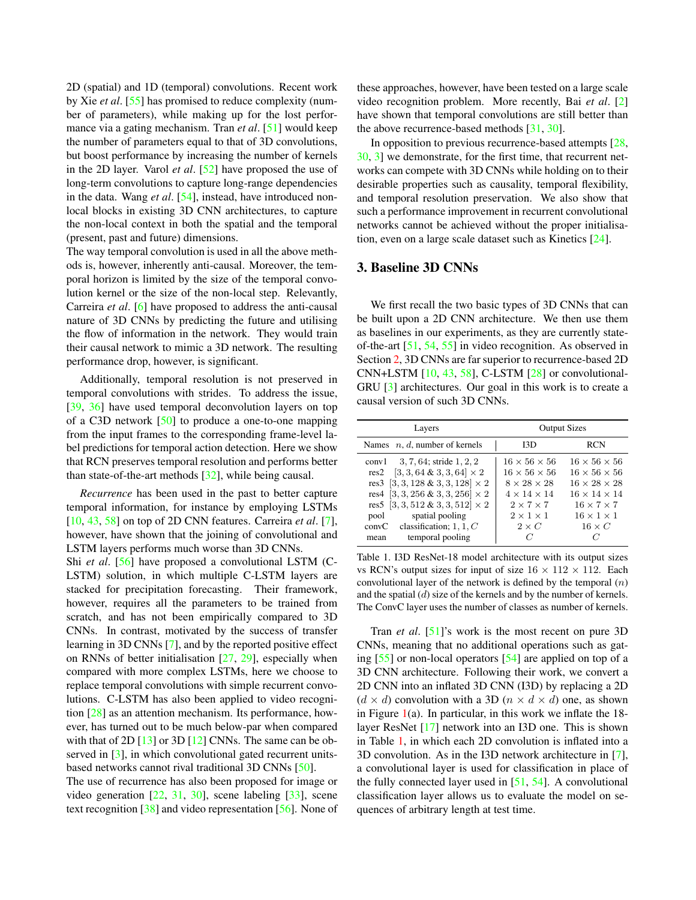2D (spatial) and 1D (temporal) convolutions. Recent work by Xie *et al*. [55] has promised to reduce complexity (number of parameters), while making up for the lost performance via a gating mechanism. Tran *et al*. [51] would keep the number of parameters equal to that of 3D convolutions, but boost performance by increasing the number of kernels in the 2D layer. Varol *et al*. [52] have proposed the use of long-term convolutions to capture long-range dependencies in the data. Wang *et al*. [54], instead, have introduced nonlocal blocks in existing 3D CNN architectures, to capture the non-local context in both the spatial and the temporal (present, past and future) dimensions.

The way temporal convolution is used in all the above methods is, however, inherently anti-causal. Moreover, the temporal horizon is limited by the size of the temporal convolution kernel or the size of the non-local step. Relevantly, Carreira *et al*. [6] have proposed to address the anti-causal nature of 3D CNNs by predicting the future and utilising the flow of information in the network. They would train their causal network to mimic a 3D network. The resulting performance drop, however, is significant.

Additionally, temporal resolution is not preserved in temporal convolutions with strides. To address the issue, [39, 36] have used temporal deconvolution layers on top of a C3D network [50] to produce a one-to-one mapping from the input frames to the corresponding frame-level label predictions for temporal action detection. Here we show that RCN preserves temporal resolution and performs better than state-of-the-art methods [32], while being causal.

*Recurrence* has been used in the past to better capture temporal information, for instance by employing LSTMs [10, 43, 58] on top of 2D CNN features. Carreira *et al*. [7], however, have shown that the joining of convolutional and LSTM layers performs much worse than 3D CNNs.

Shi *et al.* [56] have proposed a convolutional LSTM (C-LSTM) solution, in which multiple C-LSTM layers are stacked for precipitation forecasting. Their framework, however, requires all the parameters to be trained from scratch, and has not been empirically compared to 3D CNNs. In contrast, motivated by the success of transfer learning in 3D CNNs [7], and by the reported positive effect on RNNs of better initialisation  $[27, 29]$ , especially when compared with more complex LSTMs, here we choose to replace temporal convolutions with simple recurrent convolutions. C-LSTM has also been applied to video recognition [28] as an attention mechanism. Its performance, however, has turned out to be much below-par when compared with that of 2D  $[13]$  or 3D  $[12]$  CNNs. The same can be observed in [3], in which convolutional gated recurrent unitsbased networks cannot rival traditional 3D CNNs [50].

The use of recurrence has also been proposed for image or video generation  $[22, 31, 30]$ , scene labeling  $[33]$ , scene text recognition [38] and video representation [56]. None of these approaches, however, have been tested on a large scale video recognition problem. More recently, Bai *et al*. [2] have shown that temporal convolutions are still better than the above recurrence-based methods [31, 30].

In opposition to previous recurrence-based attempts [28, 30, 3] we demonstrate, for the first time, that recurrent networks can compete with 3D CNNs while holding on to their desirable properties such as causality, temporal flexibility, and temporal resolution preservation. We also show that such a performance improvement in recurrent convolutional networks cannot be achieved without the proper initialisation, even on a large scale dataset such as Kinetics [24].

# 3. Baseline 3D CNNs

We first recall the two basic types of 3D CNNs that can be built upon a 2D CNN architecture. We then use them as baselines in our experiments, as they are currently stateof-the-art [51, 54, 55] in video recognition. As observed in Section 2, 3D CNNs are far superior to recurrence-based 2D CNN+LSTM  $[10, 43, 58]$ , C-LSTM  $[28]$  or convolutional-GRU [3] architectures. Our goal in this work is to create a causal version of such 3D CNNs.

| Layers                                  | <b>Output Sizes</b>      |                          |
|-----------------------------------------|--------------------------|--------------------------|
| Names $n, d$ , number of kernels        | I3D                      | <b>RCN</b>               |
| conv1 $3, 7, 64$ ; stride $1, 2, 2$     | $16 \times 56 \times 56$ | $16 \times 56 \times 56$ |
| res2 [3, 3, 64 & 3, 3, 64] $\times$ 2   | $16 \times 56 \times 56$ | $16 \times 56 \times 56$ |
| res3 [3, 3, 128 & 3, 3, 128] $\times$ 2 | $8 \times 28 \times 28$  | $16 \times 28 \times 28$ |
| res4 [3, 3, 256 & 3, 3, 256] $\times$ 2 | $4 \times 14 \times 14$  | $16 \times 14 \times 14$ |
| res5 [3, 3, 512 & 3, 3, 512] $\times$ 2 | $2 \times 7 \times 7$    | $16 \times 7 \times 7$   |
| pool spatial pooling                    | $2 \times 1 \times 1$    | $16 \times 1 \times 1$   |
| convC classification; $1, 1, C$         | $2 \times C$             | $16 \times C$            |
| temporal pooling<br>mean                |                          |                          |

Table 1. I3D ResNet-18 model architecture with its output sizes vs RCN's output sizes for input of size  $16 \times 112 \times 112$ . Each convolutional layer of the network is defined by the temporal  $(n)$ and the spatial  $(d)$  size of the kernels and by the number of kernels. The ConvC layer uses the number of classes as number of kernels.

Tran *et al*. [51]'s work is the most recent on pure 3D CNNs, meaning that no additional operations such as gating [55] or non-local operators [54] are applied on top of a 3D CNN architecture. Following their work, we convert a 2D CNN into an inflated 3D CNN (I3D) by replacing a 2D  $(d \times d)$  convolution with a 3D  $(n \times d \times d)$  one, as shown in Figure  $1(a)$ . In particular, in this work we inflate the 18layer ResNet [17] network into an I3D one. This is shown in Table 1, in which each 2D convolution is inflated into a 3D convolution. As in the I3D network architecture in [7], a convolutional layer is used for classification in place of the fully connected layer used in  $[51, 54]$ . A convolutional classification layer allows us to evaluate the model on sequences of arbitrary length at test time.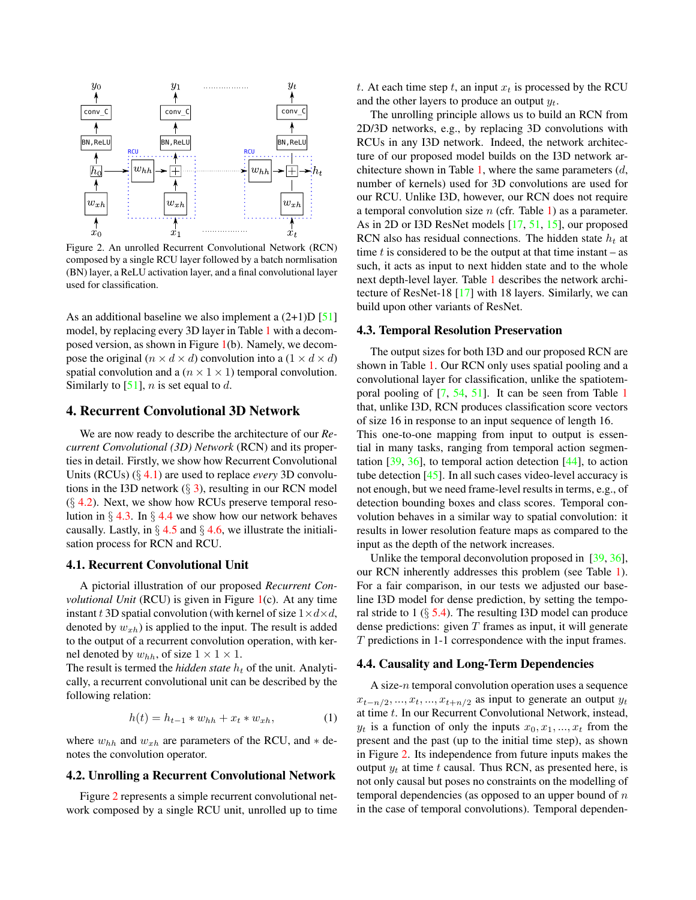

Figure 2. An unrolled Recurrent Convolutional Network (RCN) composed by a single RCU layer followed by a batch normlisation (BN) layer, a ReLU activation layer, and a final convolutional layer used for classification.

As an additional baseline we also implement a  $(2+1)D [51]$ model, by replacing every 3D layer in Table 1 with a decomposed version, as shown in Figure 1(b). Namely, we decompose the original  $(n \times d \times d)$  convolution into a  $(1 \times d \times d)$ spatial convolution and a ( $n \times 1 \times 1$ ) temporal convolution. Similarly to  $[51]$ , *n* is set equal to *d*.

# 4. Recurrent Convolutional 3D Network

We are now ready to describe the architecture of our *Recurrent Convolutional (3D) Network* (RCN) and its properties in detail. Firstly, we show how Recurrent Convolutional Units (RCUs) (§ 4.1) are used to replace *every* 3D convolutions in the I3D network  $(\S 3)$ , resulting in our RCN model  $(\S$  4.2). Next, we show how RCUs preserve temporal resolution in  $\S 4.3$ . In  $\S 4.4$  we show how our network behaves causally. Lastly, in  $\S 4.5$  and  $\S 4.6$ , we illustrate the initialisation process for RCN and RCU.

### 4.1. Recurrent Convolutional Unit

A pictorial illustration of our proposed *Recurrent Convolutional Unit* (RCU) is given in Figure 1(c). At any time instant t 3D spatial convolution (with kernel of size  $1 \times d \times d$ , denoted by  $w_{xh}$ ) is applied to the input. The result is added to the output of a recurrent convolution operation, with kernel denoted by  $w_{hh}$ , of size  $1 \times 1 \times 1$ .

The result is termed the *hidden state*  $h_t$  of the unit. Analytically, a recurrent convolutional unit can be described by the following relation:

$$
h(t) = h_{t-1} * w_{hh} + x_t * w_{xh},
$$
 (1)

where  $w_{hh}$  and  $w_{xh}$  are parameters of the RCU, and  $*$  denotes the convolution operator.

## 4.2. Unrolling a Recurrent Convolutional Network

Figure 2 represents a simple recurrent convolutional network composed by a single RCU unit, unrolled up to time t. At each time step t, an input  $x_t$  is processed by the RCU and the other layers to produce an output  $y_t$ .

The unrolling principle allows us to build an RCN from 2D/3D networks, e.g., by replacing 3D convolutions with RCUs in any I3D network. Indeed, the network architecture of our proposed model builds on the I3D network architecture shown in Table 1, where the same parameters  $(d,$ number of kernels) used for 3D convolutions are used for our RCU. Unlike I3D, however, our RCN does not require a temporal convolution size  $n$  (cfr. Table 1) as a parameter. As in 2D or I3D ResNet models [17, 51, 15], our proposed RCN also has residual connections. The hidden state  $h_t$  at time t is considered to be the output at that time instant  $-$  as such, it acts as input to next hidden state and to the whole next depth-level layer. Table 1 describes the network architecture of ResNet-18 [17] with 18 layers. Similarly, we can build upon other variants of ResNet.

### 4.3. Temporal Resolution Preservation

The output sizes for both I3D and our proposed RCN are shown in Table 1. Our RCN only uses spatial pooling and a convolutional layer for classification, unlike the spatiotemporal pooling of [7, 54, 51]. It can be seen from Table 1 that, unlike I3D, RCN produces classification score vectors of size 16 in response to an input sequence of length 16. This one-to-one mapping from input to output is essential in many tasks, ranging from temporal action segmentation  $[39, 36]$ , to temporal action detection  $[44]$ , to action tube detection  $[45]$ . In all such cases video-level accuracy is not enough, but we need frame-level results in terms, e.g., of detection bounding boxes and class scores. Temporal convolution behaves in a similar way to spatial convolution: it results in lower resolution feature maps as compared to the input as the depth of the network increases.

Unlike the temporal deconvolution proposed in [39, 36], our RCN inherently addresses this problem (see Table 1). For a fair comparison, in our tests we adjusted our baseline I3D model for dense prediction, by setting the temporal stride to  $1 \times 5.4$ . The resulting I3D model can produce dense predictions: given  $T$  frames as input, it will generate T predictions in 1-1 correspondence with the input frames.

#### 4.4. Causality and Long-Term Dependencies

A size-n temporal convolution operation uses a sequence  $x_{t-n/2},...,x_t,...,x_{t+n/2}$  as input to generate an output  $y_t$ at time t. In our Recurrent Convolutional Network, instead,  $y_t$  is a function of only the inputs  $x_0, x_1, ..., x_t$  from the present and the past (up to the initial time step), as shown in Figure 2. Its independence from future inputs makes the output  $y_t$  at time t causal. Thus RCN, as presented here, is not only causal but poses no constraints on the modelling of temporal dependencies (as opposed to an upper bound of  $n$ in the case of temporal convolutions). Temporal dependen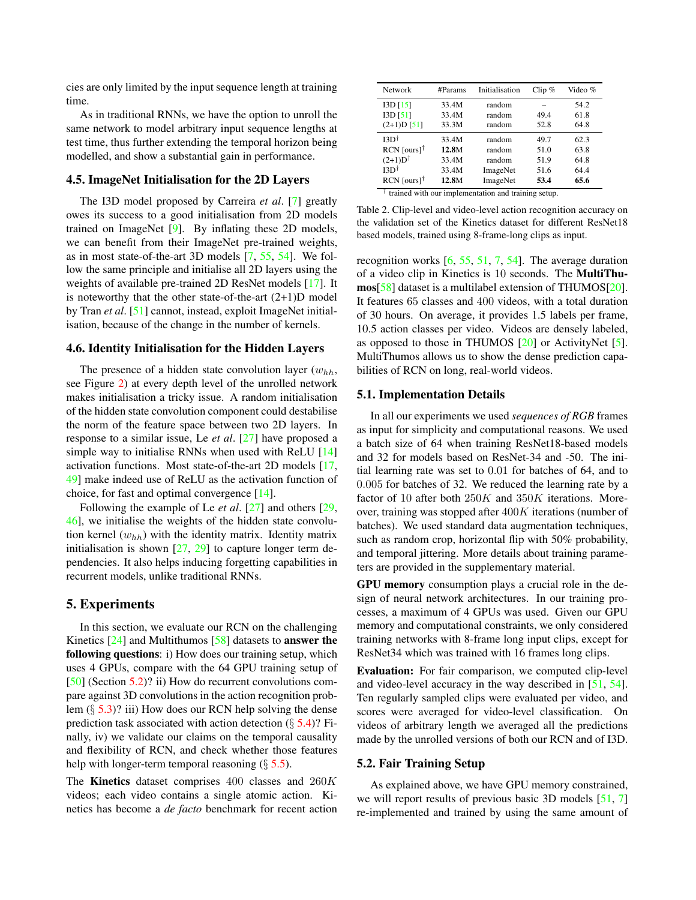cies are only limited by the input sequence length at training time.

As in traditional RNNs, we have the option to unroll the same network to model arbitrary input sequence lengths at test time, thus further extending the temporal horizon being modelled, and show a substantial gain in performance.

## 4.5. ImageNet Initialisation for the 2D Layers

The I3D model proposed by Carreira *et al*. [7] greatly owes its success to a good initialisation from 2D models trained on ImageNet [9]. By inflating these 2D models, we can benefit from their ImageNet pre-trained weights, as in most state-of-the-art 3D models [7, 55, 54]. We follow the same principle and initialise all 2D layers using the weights of available pre-trained 2D ResNet models [17]. It is noteworthy that the other state-of-the-art  $(2+1)D$  model by Tran *et al*. [51] cannot, instead, exploit ImageNet initialisation, because of the change in the number of kernels.

### 4.6. Identity Initialisation for the Hidden Layers

The presence of a hidden state convolution layer  $(w_{hh},$ see Figure 2) at every depth level of the unrolled network makes initialisation a tricky issue. A random initialisation of the hidden state convolution component could destabilise the norm of the feature space between two 2D layers. In response to a similar issue, Le *et al*. [27] have proposed a simple way to initialise RNNs when used with ReLU [14] activation functions. Most state-of-the-art 2D models [17, 49] make indeed use of ReLU as the activation function of choice, for fast and optimal convergence [14].

Following the example of Le *et al*. [27] and others [29, 46], we initialise the weights of the hidden state convolution kernel  $(w_{hh})$  with the identity matrix. Identity matrix initialisation is shown  $[27, 29]$  to capture longer term dependencies. It also helps inducing forgetting capabilities in recurrent models, unlike traditional RNNs.

### 5. Experiments

In this section, we evaluate our RCN on the challenging Kinetics  $[24]$  and Multithumos  $[58]$  datasets to **answer the** following questions: i) How does our training setup, which uses 4 GPUs, compare with the 64 GPU training setup of [50] (Section 5.2)? ii) How do recurrent convolutions compare against 3D convolutions in the action recognition problem (§ 5.3)? iii) How does our RCN help solving the dense prediction task associated with action detection  $(\S 5.4)$ ? Finally, iv) we validate our claims on the temporal causality and flexibility of RCN, and check whether those features help with longer-term temporal reasoning  $(\S 5.5)$ .

The Kinetics dataset comprises 400 classes and 260K videos; each video contains a single atomic action. Kinetics has become a *de facto* benchmark for recent action

| <b>Network</b>            | #Params | Initialisation | Clip $%$ | Video % |
|---------------------------|---------|----------------|----------|---------|
| I3D[15]                   | 33.4M   | random         |          | 54.2    |
| $I3D$ $[51]$              | 33.4M   | random         | 49.4     | 61.8    |
| $(2+1)D$ [51]             | 33.3M   | random         | 52.8     | 64.8    |
| $I3D^{\dagger}$           | 33.4M   | random         | 49.7     | 62.3    |
| $RCN$ [ours] <sup>†</sup> | 12.8M   | random         | 51.0     | 63.8    |
| $(2+1)D^{\dagger}$        | 33.4M   | random         | 51.9     | 64.8    |
| $I3D^{\dagger}$           | 33.4M   | ImageNet       | 51.6     | 64.4    |
| $RCN$ [ours] <sup>†</sup> | 12.8M   | ImageNet       | 53.4     | 65.6    |
|                           |         |                |          |         |

† trained with our implementation and training setup.

Table 2. Clip-level and video-level action recognition accuracy on the validation set of the Kinetics dataset for different ResNet18 based models, trained using 8-frame-long clips as input.

recognition works  $[6, 55, 51, 7, 54]$ . The average duration of a video clip in Kinetics is 10 seconds. The MultiThumos[58] dataset is a multilabel extension of THUMOS[20]. It features 65 classes and 400 videos, with a total duration of 30 hours. On average, it provides 1.5 labels per frame, 10.5 action classes per video. Videos are densely labeled, as opposed to those in THUMOS [20] or ActivityNet [5]. MultiThumos allows us to show the dense prediction capabilities of RCN on long, real-world videos.

#### 5.1. Implementation Details

In all our experiments we used *sequences of RGB* frames as input for simplicity and computational reasons. We used a batch size of 64 when training ResNet18-based models and 32 for models based on ResNet-34 and -50. The initial learning rate was set to 0.01 for batches of 64, and to 0.005 for batches of 32. We reduced the learning rate by a factor of 10 after both  $250K$  and  $350K$  iterations. Moreover, training was stopped after  $400K$  iterations (number of batches). We used standard data augmentation techniques, such as random crop, horizontal flip with 50% probability, and temporal jittering. More details about training parameters are provided in the supplementary material.

GPU memory consumption plays a crucial role in the design of neural network architectures. In our training processes, a maximum of 4 GPUs was used. Given our GPU memory and computational constraints, we only considered training networks with 8-frame long input clips, except for ResNet34 which was trained with 16 frames long clips.

Evaluation: For fair comparison, we computed clip-level and video-level accuracy in the way described in  $[51, 54]$ . Ten regularly sampled clips were evaluated per video, and scores were averaged for video-level classification. On videos of arbitrary length we averaged all the predictions made by the unrolled versions of both our RCN and of I3D.

### 5.2. Fair Training Setup

As explained above, we have GPU memory constrained, we will report results of previous basic 3D models [51, 7] re-implemented and trained by using the same amount of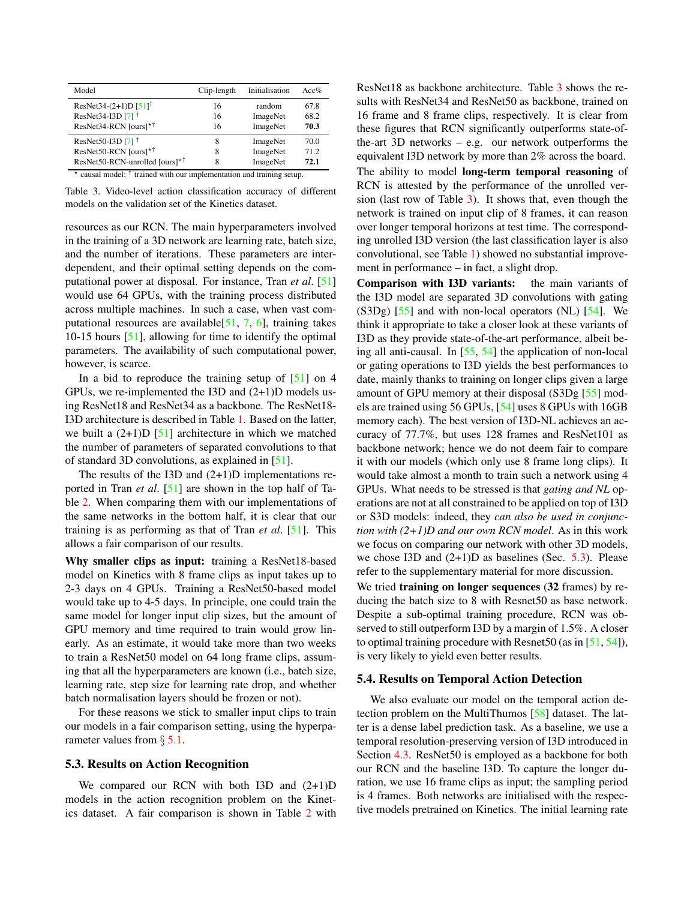| Model                                                                                  | Clip-length | Initialisation | Acc% |
|----------------------------------------------------------------------------------------|-------------|----------------|------|
| ResNet34-(2+1)D $[51]$ <sup>†</sup>                                                    | 16          | random         | 67.8 |
| ResNet34-I3D [7] <sup>†</sup>                                                          | 16          | ImageNet       | 68.2 |
| ResNet34-RCN [ours] $*$ <sup>†</sup>                                                   | 16          | ImageNet       | 70.3 |
| ResNet50-I3D [7] $^{\dagger}$                                                          | 8           | ImageNet       | 70.0 |
| ResNet50-RCN [ours] $*$ †                                                              | 8           | ImageNet       | 71.2 |
| ResNet50-RCN-unrolled [ours]* <sup>†</sup>                                             | 8           | ImageNet       | 72.1 |
| causal model; $\dagger$ trained with our implementation and training setup.<br>$\star$ |             |                |      |

Table 3. Video-level action classification accuracy of different models on the validation set of the Kinetics dataset.

resources as our RCN. The main hyperparameters involved in the training of a 3D network are learning rate, batch size, and the number of iterations. These parameters are interdependent, and their optimal setting depends on the computational power at disposal. For instance, Tran *et al*. [51] would use 64 GPUs, with the training process distributed across multiple machines. In such a case, when vast computational resources are available $[51, 7, 6]$ , training takes 10-15 hours [51], allowing for time to identify the optimal parameters. The availability of such computational power, however, is scarce.

In a bid to reproduce the training setup of  $[51]$  on 4 GPUs, we re-implemented the I3D and (2+1)D models using ResNet18 and ResNet34 as a backbone. The ResNet18- I3D architecture is described in Table 1. Based on the latter, we built a  $(2+1)D$  [51] architecture in which we matched the number of parameters of separated convolutions to that of standard 3D convolutions, as explained in [51].

The results of the I3D and (2+1)D implementations reported in Tran *et al*. [51] are shown in the top half of Table 2. When comparing them with our implementations of the same networks in the bottom half, it is clear that our training is as performing as that of Tran *et al*. [51]. This allows a fair comparison of our results.

Why smaller clips as input: training a ResNet18-based model on Kinetics with 8 frame clips as input takes up to 2-3 days on 4 GPUs. Training a ResNet50-based model would take up to 4-5 days. In principle, one could train the same model for longer input clip sizes, but the amount of GPU memory and time required to train would grow linearly. As an estimate, it would take more than two weeks to train a ResNet50 model on 64 long frame clips, assuming that all the hyperparameters are known (i.e., batch size, learning rate, step size for learning rate drop, and whether batch normalisation layers should be frozen or not).

For these reasons we stick to smaller input clips to train our models in a fair comparison setting, using the hyperparameter values from  $\S$  5.1.

#### 5.3. Results on Action Recognition

We compared our RCN with both I3D and  $(2+1)D$ models in the action recognition problem on the Kinetics dataset. A fair comparison is shown in Table 2 with ResNet18 as backbone architecture. Table 3 shows the results with ResNet34 and ResNet50 as backbone, trained on 16 frame and 8 frame clips, respectively. It is clear from these figures that RCN significantly outperforms state-ofthe-art 3D networks – e.g. our network outperforms the equivalent I3D network by more than 2% across the board. The ability to model long-term temporal reasoning of RCN is attested by the performance of the unrolled version (last row of Table 3). It shows that, even though the network is trained on input clip of 8 frames, it can reason over longer temporal horizons at test time. The corresponding unrolled I3D version (the last classification layer is also convolutional, see Table 1) showed no substantial improvement in performance – in fact, a slight drop.

Comparison with I3D variants: the main variants of the I3D model are separated 3D convolutions with gating  $(S3Dg)$  [55] and with non-local operators  $(NL)$  [54]. We think it appropriate to take a closer look at these variants of I3D as they provide state-of-the-art performance, albeit being all anti-causal. In [55, 54] the application of non-local or gating operations to I3D yields the best performances to date, mainly thanks to training on longer clips given a large amount of GPU memory at their disposal (S3Dg [55] models are trained using 56 GPUs, [54] uses 8 GPUs with 16GB memory each). The best version of I3D-NL achieves an accuracy of 77.7%, but uses 128 frames and ResNet101 as backbone network; hence we do not deem fair to compare it with our models (which only use 8 frame long clips). It would take almost a month to train such a network using 4 GPUs. What needs to be stressed is that *gating and NL* operations are not at all constrained to be applied on top of I3D or S3D models: indeed, they *can also be used in conjunction with (2+1)D and our own RCN model*. As in this work we focus on comparing our network with other 3D models, we chose I3D and  $(2+1)$ D as baselines (Sec. 5.3). Please refer to the supplementary material for more discussion.

We tried **training on longer sequences** (32 frames) by reducing the batch size to 8 with Resnet50 as base network. Despite a sub-optimal training procedure, RCN was observed to still outperform I3D by a margin of 1.5%. A closer to optimal training procedure with Resnet50 (as in  $[51, 54]$ ), is very likely to yield even better results.

#### 5.4. Results on Temporal Action Detection

We also evaluate our model on the temporal action detection problem on the MultiThumos [58] dataset. The latter is a dense label prediction task. As a baseline, we use a temporal resolution-preserving version of I3D introduced in Section 4.3. ResNet50 is employed as a backbone for both our RCN and the baseline I3D. To capture the longer duration, we use 16 frame clips as input; the sampling period is 4 frames. Both networks are initialised with the respective models pretrained on Kinetics. The initial learning rate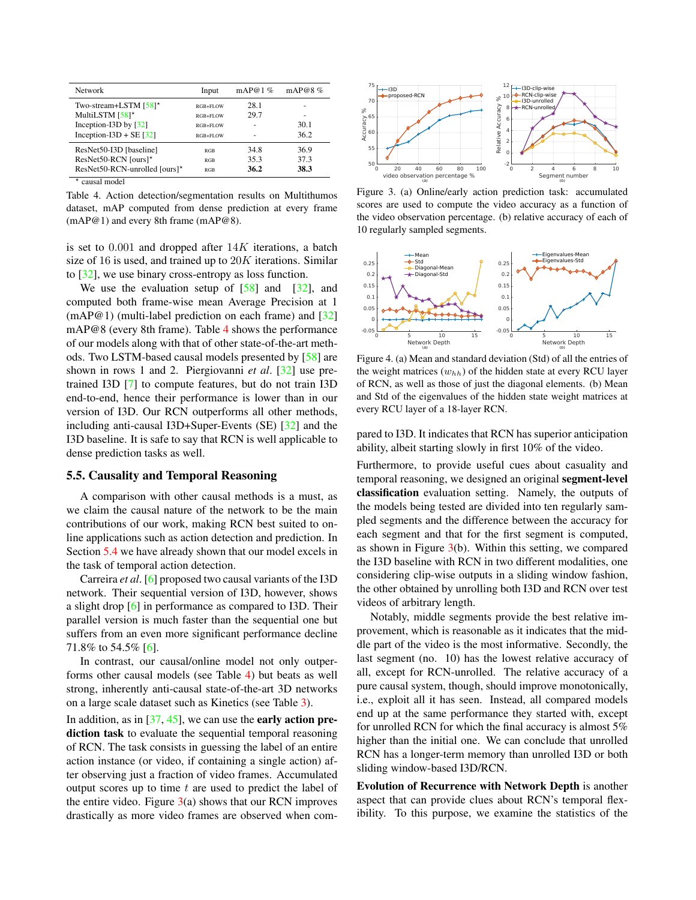| <b>Network</b>                       | Input      | mAP@1 $\%$ | mAP@8 $%$ |
|--------------------------------------|------------|------------|-----------|
| Two-stream+LSTM [58]*                | RGB+FLOW   | 28.1       |           |
| MultiLSTM [58]*                      | RGB+FLOW   | 29.7       |           |
| Inception-I3D by $[32]$              | RGB+FLOW   |            | 30.1      |
| Inception-I3D + SE $\left[32\right]$ | RGB+FLOW   |            | 36.2      |
| ResNet50-I3D [baseline]              | <b>RGB</b> | 34.8       | 36.9      |
| ResNet50-RCN [ours]*                 | <b>RGB</b> | 35.3       | 37.3      |
| ResNet50-RCN-unrolled [ours]*        | <b>RGB</b> | 36.2       | 38.3      |
| $\star$<br>causal model              |            |            |           |

Table 4. Action detection/segmentation results on Multithumos dataset, mAP computed from dense prediction at every frame (mAP@1) and every 8th frame (mAP@8).

is set to  $0.001$  and dropped after  $14K$  iterations, a batch size of 16 is used, and trained up to  $20K$  iterations. Similar to [32], we use binary cross-entropy as loss function.

We use the evaluation setup of  $\lceil 58 \rceil$  and  $\lceil 32 \rceil$ , and computed both frame-wise mean Average Precision at 1 (mAP@1) (multi-label prediction on each frame) and [32] mAP@8 (every 8th frame). Table 4 shows the performance of our models along with that of other state-of-the-art methods. Two LSTM-based causal models presented by [58] are shown in rows 1 and 2. Piergiovanni *et al*. [32] use pretrained I3D [7] to compute features, but do not train I3D end-to-end, hence their performance is lower than in our version of I3D. Our RCN outperforms all other methods, including anti-causal I3D+Super-Events (SE) [32] and the I3D baseline. It is safe to say that RCN is well applicable to dense prediction tasks as well.

#### 5.5. Causality and Temporal Reasoning

A comparison with other causal methods is a must, as we claim the causal nature of the network to be the main contributions of our work, making RCN best suited to online applications such as action detection and prediction. In Section 5.4 we have already shown that our model excels in the task of temporal action detection.

Carreira *et al*. [6] proposed two causal variants of the I3D network. Their sequential version of I3D, however, shows a slight drop [6] in performance as compared to I3D. Their parallel version is much faster than the sequential one but suffers from an even more significant performance decline 71.8% to 54.5% [6].

In contrast, our causal/online model not only outperforms other causal models (see Table 4) but beats as well strong, inherently anti-causal state-of-the-art 3D networks on a large scale dataset such as Kinetics (see Table 3).

In addition, as in  $[37, 45]$ , we can use the **early action pre**diction task to evaluate the sequential temporal reasoning of RCN. The task consists in guessing the label of an entire action instance (or video, if containing a single action) after observing just a fraction of video frames. Accumulated output scores up to time  $t$  are used to predict the label of the entire video. Figure  $3(a)$  shows that our RCN improves drastically as more video frames are observed when com-



Figure 3. (a) Online/early action prediction task: accumulated scores are used to compute the video accuracy as a function of the video observation percentage. (b) relative accuracy of each of 10 regularly sampled segments.



Figure 4. (a) Mean and standard deviation (Std) of all the entries of the weight matrices  $(w_{hh})$  of the hidden state at every RCU layer of RCN, as well as those of just the diagonal elements. (b) Mean and Std of the eigenvalues of the hidden state weight matrices at every RCU layer of a 18-layer RCN.

pared to I3D. It indicates that RCN has superior anticipation ability, albeit starting slowly in first 10% of the video.

Furthermore, to provide useful cues about casuality and temporal reasoning, we designed an original segment-level classification evaluation setting. Namely, the outputs of the models being tested are divided into ten regularly sampled segments and the difference between the accuracy for each segment and that for the first segment is computed, as shown in Figure  $3(b)$ . Within this setting, we compared the I3D baseline with RCN in two different modalities, one considering clip-wise outputs in a sliding window fashion, the other obtained by unrolling both I3D and RCN over test videos of arbitrary length.

Notably, middle segments provide the best relative improvement, which is reasonable as it indicates that the middle part of the video is the most informative. Secondly, the last segment (no. 10) has the lowest relative accuracy of all, except for RCN-unrolled. The relative accuracy of a pure causal system, though, should improve monotonically, i.e., exploit all it has seen. Instead, all compared models end up at the same performance they started with, except for unrolled RCN for which the final accuracy is almost 5% higher than the initial one. We can conclude that unrolled RCN has a longer-term memory than unrolled I3D or both sliding window-based I3D/RCN.

Evolution of Recurrence with Network Depth is another aspect that can provide clues about RCN's temporal flexibility. To this purpose, we examine the statistics of the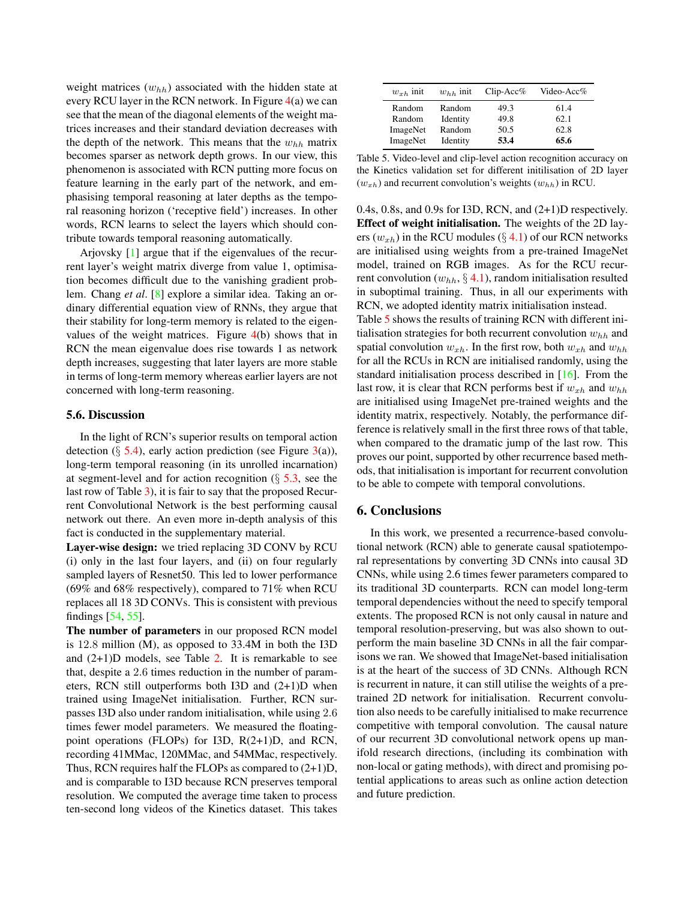weight matrices  $(w_{hh})$  associated with the hidden state at every RCU layer in the RCN network. In Figure  $4(a)$  we can see that the mean of the diagonal elements of the weight matrices increases and their standard deviation decreases with the depth of the network. This means that the  $w_{hh}$  matrix becomes sparser as network depth grows. In our view, this phenomenon is associated with RCN putting more focus on feature learning in the early part of the network, and emphasising temporal reasoning at later depths as the temporal reasoning horizon ('receptive field') increases. In other words, RCN learns to select the layers which should contribute towards temporal reasoning automatically.

Arjovsky [1] argue that if the eigenvalues of the recurrent layer's weight matrix diverge from value 1, optimisation becomes difficult due to the vanishing gradient problem. Chang *et al*. [8] explore a similar idea. Taking an ordinary differential equation view of RNNs, they argue that their stability for long-term memory is related to the eigenvalues of the weight matrices. Figure 4(b) shows that in RCN the mean eigenvalue does rise towards 1 as network depth increases, suggesting that later layers are more stable in terms of long-term memory whereas earlier layers are not concerned with long-term reasoning.

# 5.6. Discussion

In the light of RCN's superior results on temporal action detection ( $\S$  5.4), early action prediction (see Figure 3(a)), long-term temporal reasoning (in its unrolled incarnation) at segment-level and for action recognition  $(\S$  5.3, see the last row of Table 3), it is fair to say that the proposed Recurrent Convolutional Network is the best performing causal network out there. An even more in-depth analysis of this fact is conducted in the supplementary material.

Layer-wise design: we tried replacing 3D CONV by RCU (i) only in the last four layers, and (ii) on four regularly sampled layers of Resnet50. This led to lower performance (69% and 68% respectively), compared to 71% when RCU replaces all 18 3D CONVs. This is consistent with previous findings [54, 55].

The number of parameters in our proposed RCN model is 12.8 million (M), as opposed to 33.4M in both the I3D and  $(2+1)D$  models, see Table 2. It is remarkable to see that, despite a 2.6 times reduction in the number of parameters, RCN still outperforms both I3D and (2+1)D when trained using ImageNet initialisation. Further, RCN surpasses I3D also under random initialisation, while using 2.6 times fewer model parameters. We measured the floatingpoint operations (FLOPs) for I3D, R(2+1)D, and RCN, recording 41MMac, 120MMac, and 54MMac, respectively. Thus, RCN requires half the FLOPs as compared to (2+1)D, and is comparable to I3D because RCN preserves temporal resolution. We computed the average time taken to process ten-second long videos of the Kinetics dataset. This takes

| $w_{xh}$ init | $w_{hh}$ init | $Clip$ -Acc% | Video-Acc $%$ |
|---------------|---------------|--------------|---------------|
| Random        | Random        | 49.3         | 61.4          |
| Random        | Identity      | 49.8         | 62.1          |
| ImageNet      | Random        | 50.5         | 62.8          |
| ImageNet      | Identity      | 53.4         | 65.6          |

Table 5. Video-level and clip-level action recognition accuracy on the Kinetics validation set for different initilisation of 2D layer  $(w_{xh})$  and recurrent convolution's weights  $(w_{hh})$  in RCU.

0.4s, 0.8s, and 0.9s for I3D, RCN, and (2+1)D respectively. Effect of weight initialisation. The weights of the 2D layers  $(w_{xh})$  in the RCU modules ( $\S$  4.1) of our RCN networks are initialised using weights from a pre-trained ImageNet model, trained on RGB images. As for the RCU recurrent convolution  $(w_{hh}, \S 4.1)$ , random initialisation resulted in suboptimal training. Thus, in all our experiments with RCN, we adopted identity matrix initialisation instead. Table 5 shows the results of training RCN with different ini-

tialisation strategies for both recurrent convolution  $w_{hh}$  and spatial convolution  $w_{xh}$ . In the first row, both  $w_{xh}$  and  $w_{hh}$ for all the RCUs in RCN are initialised randomly, using the standard initialisation process described in [16]. From the last row, it is clear that RCN performs best if  $w_{xh}$  and  $w_{hh}$ are initialised using ImageNet pre-trained weights and the identity matrix, respectively. Notably, the performance difference is relatively small in the first three rows of that table, when compared to the dramatic jump of the last row. This proves our point, supported by other recurrence based methods, that initialisation is important for recurrent convolution to be able to compete with temporal convolutions.

# 6. Conclusions

In this work, we presented a recurrence-based convolutional network (RCN) able to generate causal spatiotemporal representations by converting 3D CNNs into causal 3D CNNs, while using 2.6 times fewer parameters compared to its traditional 3D counterparts. RCN can model long-term temporal dependencies without the need to specify temporal extents. The proposed RCN is not only causal in nature and temporal resolution-preserving, but was also shown to outperform the main baseline 3D CNNs in all the fair comparisons we ran. We showed that ImageNet-based initialisation is at the heart of the success of 3D CNNs. Although RCN is recurrent in nature, it can still utilise the weights of a pretrained 2D network for initialisation. Recurrent convolution also needs to be carefully initialised to make recurrence competitive with temporal convolution. The causal nature of our recurrent 3D convolutional network opens up manifold research directions, (including its combination with non-local or gating methods), with direct and promising potential applications to areas such as online action detection and future prediction.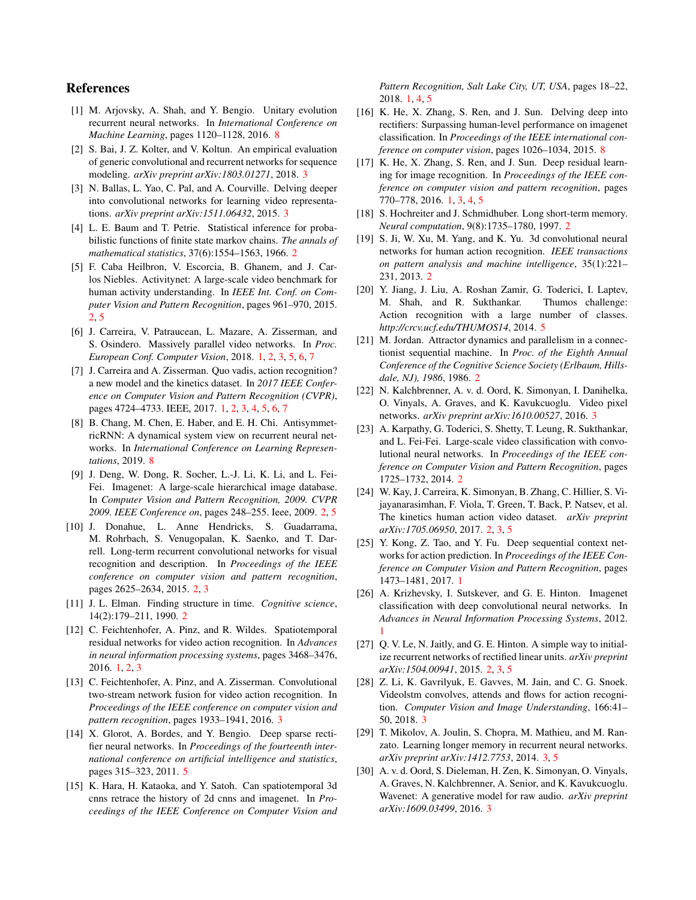# References

- [1] M. Arjovsky, A. Shah, and Y. Bengio. Unitary evolution recurrent neural networks. In *International Conference on Machine Learning*, pages 1120–1128, 2016. 8
- [2] S. Bai, J. Z. Kolter, and V. Koltun. An empirical evaluation of generic convolutional and recurrent networks for sequence modeling. *arXiv preprint arXiv:1803.01271*, 2018. 3
- [3] N. Ballas, L. Yao, C. Pal, and A. Courville. Delving deeper into convolutional networks for learning video representations. *arXiv preprint arXiv:1511.06432*, 2015. 3
- [4] L. E. Baum and T. Petrie. Statistical inference for probabilistic functions of finite state markov chains. *The annals of mathematical statistics*, 37(6):1554–1563, 1966. 2
- [5] F. Caba Heilbron, V. Escorcia, B. Ghanem, and J. Carlos Niebles. Activitynet: A large-scale video benchmark for human activity understanding. In *IEEE Int. Conf. on Computer Vision and Pattern Recognition*, pages 961–970, 2015. 2, 5
- [6] J. Carreira, V. Patraucean, L. Mazare, A. Zisserman, and S. Osindero. Massively parallel video networks. In *Proc. European Conf. Computer Vision*, 2018. 1, 2, 3, 5, 6, 7
- [7] J. Carreira and A. Zisserman. Quo vadis, action recognition? a new model and the kinetics dataset. In *2017 IEEE Conference on Computer Vision and Pattern Recognition (CVPR)*, pages 4724–4733. IEEE, 2017. 1, 2, 3, 4, 5, 6, 7
- [8] B. Chang, M. Chen, E. Haber, and E. H. Chi. AntisymmetricRNN: A dynamical system view on recurrent neural networks. In *International Conference on Learning Representations*, 2019. 8
- [9] J. Deng, W. Dong, R. Socher, L.-J. Li, K. Li, and L. Fei-Fei. Imagenet: A large-scale hierarchical image database. In *Computer Vision and Pattern Recognition, 2009. CVPR 2009. IEEE Conference on*, pages 248–255. Ieee, 2009. 2, 5
- [10] J. Donahue, L. Anne Hendricks, S. Guadarrama, M. Rohrbach, S. Venugopalan, K. Saenko, and T. Darrell. Long-term recurrent convolutional networks for visual recognition and description. In *Proceedings of the IEEE conference on computer vision and pattern recognition*, pages 2625–2634, 2015. 2, 3
- [11] J. L. Elman. Finding structure in time. *Cognitive science*, 14(2):179–211, 1990. 2
- [12] C. Feichtenhofer, A. Pinz, and R. Wildes. Spatiotemporal residual networks for video action recognition. In *Advances in neural information processing systems*, pages 3468–3476, 2016. 1, 2, 3
- [13] C. Feichtenhofer, A. Pinz, and A. Zisserman. Convolutional two-stream network fusion for video action recognition. In *Proceedings of the IEEE conference on computer vision and pattern recognition*, pages 1933–1941, 2016. 3
- [14] X. Glorot, A. Bordes, and Y. Bengio. Deep sparse rectifier neural networks. In *Proceedings of the fourteenth international conference on artificial intelligence and statistics*, pages 315–323, 2011. 5
- [15] K. Hara, H. Kataoka, and Y. Satoh. Can spatiotemporal 3d cnns retrace the history of 2d cnns and imagenet. In *Proceedings of the IEEE Conference on Computer Vision and*

*Pattern Recognition, Salt Lake City, UT, USA*, pages 18–22, 2018. 1, 4, 5

- [16] K. He, X. Zhang, S. Ren, and J. Sun. Delving deep into rectifiers: Surpassing human-level performance on imagenet classification. In *Proceedings of the IEEE international conference on computer vision*, pages 1026–1034, 2015. 8
- [17] K. He, X. Zhang, S. Ren, and J. Sun. Deep residual learning for image recognition. In *Proceedings of the IEEE conference on computer vision and pattern recognition*, pages 770–778, 2016. 1, 3, 4, 5
- [18] S. Hochreiter and J. Schmidhuber. Long short-term memory. *Neural computation*, 9(8):1735–1780, 1997. 2
- [19] S. Ji, W. Xu, M. Yang, and K. Yu. 3d convolutional neural networks for human action recognition. *IEEE transactions on pattern analysis and machine intelligence*, 35(1):221– 231, 2013. 2
- [20] Y. Jiang, J. Liu, A. Roshan Zamir, G. Toderici, I. Laptev, M. Shah, and R. Sukthankar. Thumos challenge: Action recognition with a large number of classes. *http://crcv.ucf.edu/THUMOS14*, 2014. 5
- [21] M. Jordan. Attractor dynamics and parallelism in a connectionist sequential machine. In *Proc. of the Eighth Annual Conference of the Cognitive Science Society (Erlbaum, Hillsdale, NJ), 1986*, 1986. 2
- [22] N. Kalchbrenner, A. v. d. Oord, K. Simonyan, I. Danihelka, O. Vinyals, A. Graves, and K. Kavukcuoglu. Video pixel networks. *arXiv preprint arXiv:1610.00527*, 2016. 3
- [23] A. Karpathy, G. Toderici, S. Shetty, T. Leung, R. Sukthankar, and L. Fei-Fei. Large-scale video classification with convolutional neural networks. In *Proceedings of the IEEE conference on Computer Vision and Pattern Recognition*, pages 1725–1732, 2014. 2
- [24] W. Kay, J. Carreira, K. Simonyan, B. Zhang, C. Hillier, S. Vijayanarasimhan, F. Viola, T. Green, T. Back, P. Natsev, et al. The kinetics human action video dataset. *arXiv preprint arXiv:1705.06950*, 2017. 2, 3, 5
- [25] Y. Kong, Z. Tao, and Y. Fu. Deep sequential context networks for action prediction. In *Proceedings of the IEEE Conference on Computer Vision and Pattern Recognition*, pages 1473–1481, 2017. 1
- [26] A. Krizhevsky, I. Sutskever, and G. E. Hinton. Imagenet classification with deep convolutional neural networks. In *Advances in Neural Information Processing Systems*, 2012. 1
- [27] Q. V. Le, N. Jaitly, and G. E. Hinton. A simple way to initialize recurrent networks of rectified linear units. *arXiv preprint arXiv:1504.00941*, 2015. 2, 3, 5
- [28] Z. Li, K. Gavrilyuk, E. Gavves, M. Jain, and C. G. Snoek. Videolstm convolves, attends and flows for action recognition. *Computer Vision and Image Understanding*, 166:41– 50, 2018. 3
- [29] T. Mikolov, A. Joulin, S. Chopra, M. Mathieu, and M. Ranzato. Learning longer memory in recurrent neural networks. *arXiv preprint arXiv:1412.7753*, 2014. 3, 5
- [30] A. v. d. Oord, S. Dieleman, H. Zen, K. Simonyan, O. Vinyals, A. Graves, N. Kalchbrenner, A. Senior, and K. Kavukcuoglu. Wavenet: A generative model for raw audio. *arXiv preprint arXiv:1609.03499*, 2016. 3